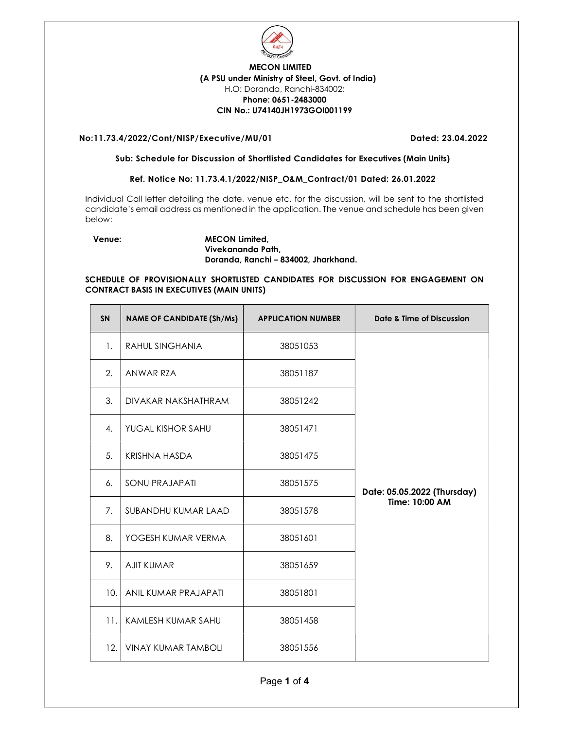

# MECON LIMITED (A PSU under Ministry of Steel, Govt. of India) H.O: Doranda, Ranchi-834002; Phone: 0651-2483000 CIN No.: U74140JH1973GOI001199

## No:11.73.4/2022/Cont/NISP/Executive/MU/01 Dated: 23.04.2022

### Sub: Schedule for Discussion of Shortlisted Candidates for Executives (Main Units)

### Ref. Notice No: 11.73.4.1/2022/NISP\_O&M\_Contract/01 Dated: 26.01.2022

Individual Call letter detailing the date, venue etc. for the discussion, will be sent to the shortlisted candidate's email address as mentioned in the application. The venue and schedule has been given below:

Venue: MECON Limited, Vivekananda Path, Doranda, Ranchi – 834002, Jharkhand.

### SCHEDULE OF PROVISIONALLY SHORTLISTED CANDIDATES FOR DISCUSSION FOR ENGAGEMENT ON CONTRACT BASIS IN EXECUTIVES (MAIN UNITS)

| <b>SN</b> | <b>NAME OF CANDIDATE (Sh/Ms)</b> | <b>APPLICATION NUMBER</b> | Date & Time of Discussion   |
|-----------|----------------------------------|---------------------------|-----------------------------|
| 1.        | <b>RAHUL SINGHANIA</b>           | 38051053                  |                             |
| 2.        | ANWAR RZA                        | 38051187                  |                             |
| 3.        | DIVAKAR NAKSHATHRAM              | 38051242                  |                             |
| 4.        | YUGAL KISHOR SAHU                | 38051471                  |                             |
| 5.        | <b>KRISHNA HASDA</b>             | 38051475                  |                             |
| 6.        | <b>SONU PRAJAPATI</b>            | 38051575                  | Date: 05.05.2022 (Thursday) |
| 7.        | SUBANDHU KUMAR LAAD              | 38051578                  | Time: 10:00 AM              |
| 8.        | YOGESH KUMAR VERMA               | 38051601                  |                             |
| 9.        | <b>AJIT KUMAR</b>                | 38051659                  |                             |
| 10.       | ANIL KUMAR PRAJAPATI             | 38051801                  |                             |
| 11.       | KAMLESH KUMAR SAHU               | 38051458                  |                             |
| 12.       | <b>VINAY KUMAR TAMBOLI</b>       | 38051556                  |                             |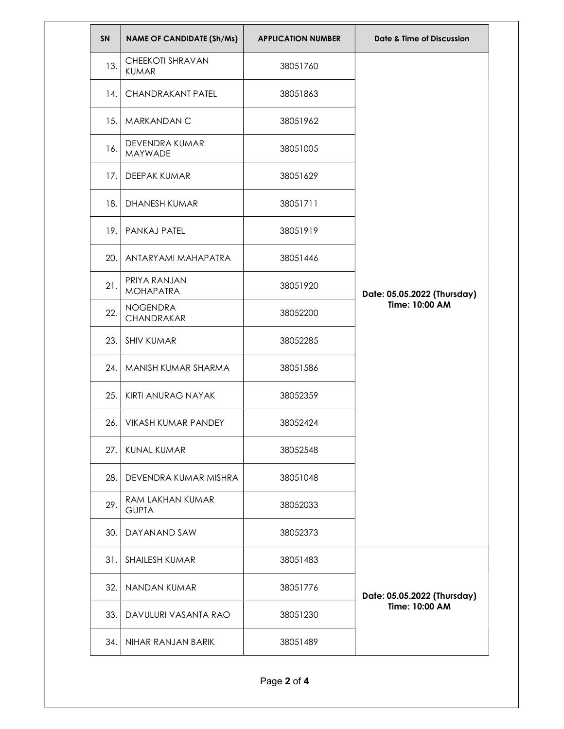| <b>SN</b> | <b>NAME OF CANDIDATE (Sh/Ms)</b>        | <b>APPLICATION NUMBER</b> | Date & Time of Discussion                     |
|-----------|-----------------------------------------|---------------------------|-----------------------------------------------|
| 13.       | <b>CHEEKOTI SHRAVAN</b><br><b>KUMAR</b> | 38051760                  | Date: 05.05.2022 (Thursday)<br>Time: 10:00 AM |
| 14.       | <b>CHANDRAKANT PATEL</b>                | 38051863                  |                                               |
| 15.       | MARKANDAN C                             | 38051962                  |                                               |
| 16.       | DEVENDRA KUMAR<br><b>MAYWADE</b>        | 38051005                  |                                               |
| 17.       | DEEPAK KUMAR                            | 38051629                  |                                               |
| 18.       | <b>DHANESH KUMAR</b>                    | 38051711                  |                                               |
| 19.       | <b>PANKAJ PATEL</b>                     | 38051919                  |                                               |
| 20.       | ANTARYAMI MAHAPATRA                     | 38051446                  |                                               |
| 21.       | PRIYA RANJAN<br><b>MOHAPATRA</b>        | 38051920                  |                                               |
| 22.       | <b>NOGENDRA</b><br>CHANDRAKAR           | 38052200                  |                                               |
| 23.       | <b>SHIV KUMAR</b>                       | 38052285                  |                                               |
| 24.       | MANISH KUMAR SHARMA                     | 38051586                  |                                               |
| 25.       | KIRTI ANURAG NAYAK                      | 38052359                  |                                               |
| 26.       | VIKASH KUMAR PANDEY                     | 38052424                  |                                               |
| 27.       | <b>KUNAL KUMAR</b>                      | 38052548                  |                                               |
| 28.       | DEVENDRA KUMAR MISHRA                   | 38051048                  |                                               |
| 29.       | RAM LAKHAN KUMAR<br><b>GUPTA</b>        | 38052033                  |                                               |
| 30.       | DAYANAND SAW                            | 38052373                  |                                               |
| 31.       | <b>SHAILESH KUMAR</b>                   | 38051483                  | Date: 05.05.2022 (Thursday)<br>Time: 10:00 AM |
| 32.       | NANDAN KUMAR                            | 38051776                  |                                               |
| 33.       | DAVULURI VASANTA RAO                    | 38051230                  |                                               |
| 34.       | NIHAR RANJAN BARIK                      | 38051489                  |                                               |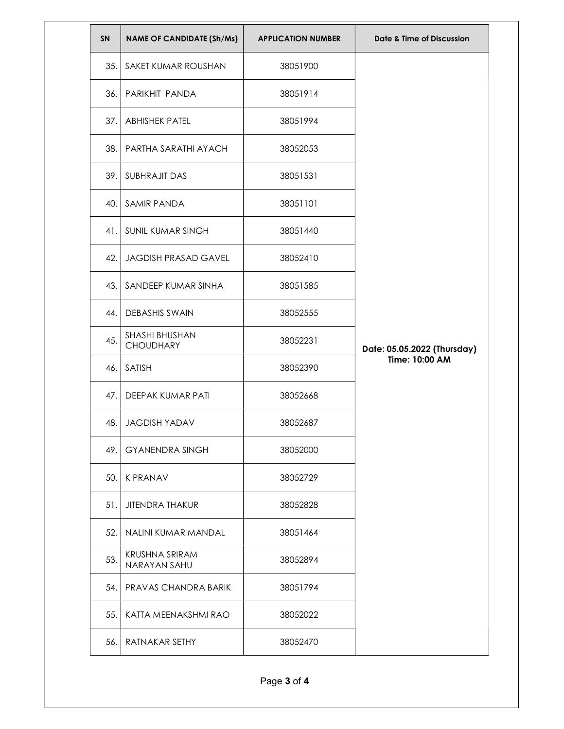| <b>SN</b> | <b>NAME OF CANDIDATE (Sh/Ms)</b>   | <b>APPLICATION NUMBER</b> | Date & Time of Discussion                     |
|-----------|------------------------------------|---------------------------|-----------------------------------------------|
| 35.       | SAKET KUMAR ROUSHAN                | 38051900                  | Date: 05.05.2022 (Thursday)<br>Time: 10:00 AM |
| 36.       | PARIKHIT PANDA                     | 38051914                  |                                               |
| 37.       | <b>ABHISHEK PATEL</b>              | 38051994                  |                                               |
| 38.       | PARTHA SARATHI AYACH               | 38052053                  |                                               |
| 39.       | <b>SUBHRAJIT DAS</b>               | 38051531                  |                                               |
| 40.       | <b>SAMIR PANDA</b>                 | 38051101                  |                                               |
| 41.       | SUNIL KUMAR SINGH                  | 38051440                  |                                               |
| 42.       | <b>JAGDISH PRASAD GAVEL</b>        | 38052410                  |                                               |
| 43.       | SANDEEP KUMAR SINHA                | 38051585                  |                                               |
| 44.       | <b>DEBASHIS SWAIN</b>              | 38052555                  |                                               |
| 45.       | SHASHI BHUSHAN<br><b>CHOUDHARY</b> | 38052231                  |                                               |
| 46.       | SATISH                             | 38052390                  |                                               |
| 47.       | DEEPAK KUMAR PATI                  | 38052668                  |                                               |
| 48.       | <b>JAGDISH YADAV</b>               | 38052687                  |                                               |
| 49.       | <b>GYANENDRA SINGH</b>             | 38052000                  |                                               |
| 50.       | <b>K PRANAV</b>                    | 38052729                  |                                               |
| 51.       | <b>JITENDRA THAKUR</b>             | 38052828                  |                                               |
| 52.       | NALINI KUMAR MANDAL                | 38051464                  |                                               |
| 53.       | KRUSHNA SRIRAM<br>NARAYAN SAHU     | 38052894                  |                                               |
| 54.       | PRAVAS CHANDRA BARIK               | 38051794                  |                                               |
| 55.       | KATTA MEENAKSHMI RAO               | 38052022                  |                                               |
| 56.       | RATNAKAR SETHY                     | 38052470                  |                                               |